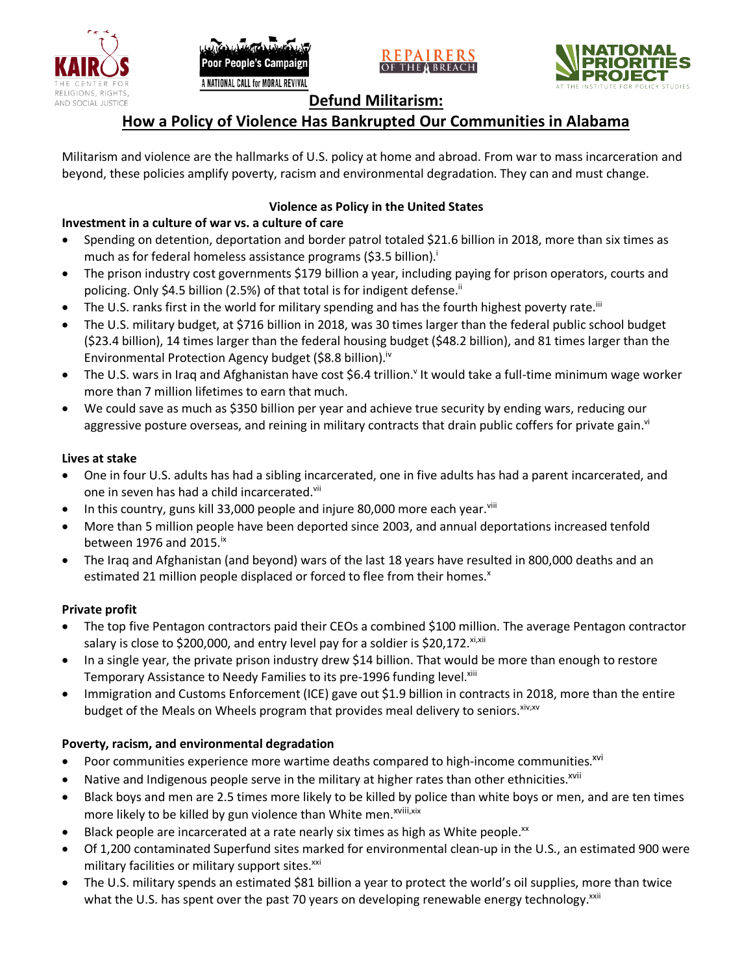







## **Defund Militarism:**

## **How a Policy of Violence Has Bankrupted Our Communities in Alabama**

Militarism and violence are the hallmarks of U.S. policy at home and abroad. From war to mass incarceration and beyond, these policies amplify poverty, racism and environmental degradation. They can and must change.

### **Violence as Policy in the United States**

### **Investment in a culture of war vs. a culture of care**

- Spending on detention, deportation and border patrol totaled \$21.6 billion in 2018, more than six times as much as for federal homeless assistance programs (\$3.5 billion).<sup>i</sup>
- The prison industry cost governments \$179 billion a year, including paying for prison operators, courts and policing. Only \$4.5 billion (2.5%) of that total is for indigent defense.<sup>ii</sup>
- The U.S. ranks first in the world for military spending and has the fourth highest poverty rate.<sup>iii</sup>
- The U.S. military budget, at \$716 billion in 2018, was 30 times larger than the federal public school budget (\$23.4 billion), 14 times larger than the federal housing budget (\$48.2 billion), and 81 times larger than the Environmental Protection Agency budget (\$8.8 billion).<sup>iv</sup>
- The U.S. wars in Iraq and Afghanistan have cost \$6.4 trillion.<sup>v</sup> It would take a full-time minimum wage worker more than 7 million lifetimes to earn that much.
- We could save as much as \$350 billion per year and achieve true security by ending wars, reducing our aggressive posture overseas, and reining in military contracts that drain public coffers for private gain.<sup>vi</sup>

#### **Lives at stake**

- One in four U.S. adults has had a sibling incarcerated, one in five adults has had a parent incarcerated, and one in seven has had a child incarcerated.vii
- In this country, guns kill 33,000 people and injure 80,000 more each year. $v_{\text{lin}}$
- More than 5 million people have been deported since 2003, and annual deportations increased tenfold between 1976 and 2015. $\mathrm{i}$ <sup>x</sup>
- The Iraq and Afghanistan (and beyond) wars of the last 18 years have resulted in 800,000 deaths and an estimated 21 million people displaced or forced to flee from their homes.<sup>x</sup>

#### **Private profit**

- The top five Pentagon contractors paid their CEOs a combined \$100 million. The average Pentagon contractor salary is close to \$200,000, and entry level pay for a soldier is \$20,172. xi,xii
- In a single year, the private prison industry drew \$14 billion. That would be more than enough to restore Temporary Assistance to Needy Families to its pre-1996 funding level.<sup>xiii</sup>
- Immigration and Customs Enforcement (ICE) gave out \$1.9 billion in contracts in 2018, more than the entire budget of the Meals on Wheels program that provides meal delivery to seniors. Xiv, XV

#### **Poverty, racism, and environmental degradation**

- Poor communities experience more wartime deaths compared to high-income communities.<sup>xvi</sup>
- Native and Indigenous people serve in the military at higher rates than other ethnicities.<sup>xvii</sup>
- Black boys and men are 2.5 times more likely to be killed by police than white boys or men, and are ten times more likely to be killed by gun violence than White men.<sup>xviii,xix</sup>
- Black people are incarcerated at a rate nearly six times as high as White people.<sup>xx</sup>
- Of 1,200 contaminated Superfund sites marked for environmental clean-up in the U.S., an estimated 900 were military facilities or military support sites.<sup>xxi</sup>
- The U.S. military spends an estimated \$81 billion a year to protect the world's oil supplies, more than twice what the U.S. has spent over the past 70 years on developing renewable energy technology.<sup>xxii</sup>